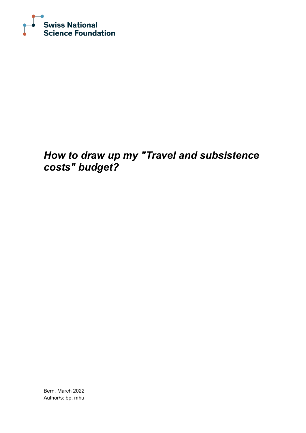

## *How to draw up my "Travel and subsistence costs" budget?*

Bern, March 2022 Author/s: bp, mhu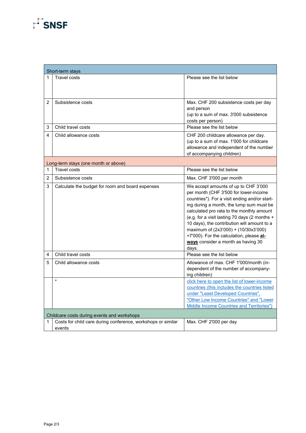## $F$ SNSF

| Short-term stays                     |                                                              |                                                                                           |  |  |
|--------------------------------------|--------------------------------------------------------------|-------------------------------------------------------------------------------------------|--|--|
| 1                                    | Travel costs                                                 | Please see the list below                                                                 |  |  |
|                                      |                                                              |                                                                                           |  |  |
| $\mathcal{P}$                        | Subsistence costs                                            | Max. CHF 200 subsistence costs per day<br>and person                                      |  |  |
|                                      |                                                              | (up to a sum of max. 3'000 subsistence                                                    |  |  |
|                                      |                                                              | costs per person)                                                                         |  |  |
| 3                                    | Child travel costs                                           | Please see the list below                                                                 |  |  |
| 4                                    | Child allowance costs                                        | CHF 200 childcare allowance per day.                                                      |  |  |
|                                      |                                                              | (up to a sum of max. 1'000 for childcare                                                  |  |  |
|                                      |                                                              | allowance and independent of the number<br>of accompanying children)                      |  |  |
| Long-term stays (one month or above) |                                                              |                                                                                           |  |  |
| 1                                    | <b>Travel costs</b>                                          | Please see the list below                                                                 |  |  |
| 2                                    | Subsistence costs                                            | Max. CHF 3'000 per month                                                                  |  |  |
| 3                                    | Calculate the budget for room and board expenses             | We accept amounts of up to CHF 3'000                                                      |  |  |
|                                      |                                                              | per month (CHF 3'500 for lower-income                                                     |  |  |
|                                      |                                                              | countries*). For a visit ending and/or start-<br>ing during a month, the lump sum must be |  |  |
|                                      |                                                              | calculated pro rata to the monthly amount                                                 |  |  |
|                                      |                                                              | (e.g. for a visit lasting 70 days (2 months +                                             |  |  |
|                                      |                                                              | 10 days), the contribution will amount to a                                               |  |  |
|                                      |                                                              | maximum of (2x3'000) + (10/30x3'000)<br>=7'000). For the calculation, please al-          |  |  |
|                                      |                                                              | ways consider a month as having 30                                                        |  |  |
|                                      |                                                              | days.                                                                                     |  |  |
| 4                                    | Child travel costs                                           | Please see the list below                                                                 |  |  |
| 5                                    | Child allowance costs                                        | Allowance of max. CHF 1'000/month (in-                                                    |  |  |
|                                      |                                                              | dependent of the number of accompany-                                                     |  |  |
|                                      | $\star$                                                      | ing children)<br>click here to open the list of lower-income                              |  |  |
|                                      |                                                              | countries (this includes the countries listed                                             |  |  |
|                                      |                                                              | under "Least Developed Countries",                                                        |  |  |
|                                      |                                                              | "Other Low Income Countries" and "Lower                                                   |  |  |
|                                      |                                                              | Middle Income Countries and Territories")                                                 |  |  |
|                                      | Childcare costs during events and workshops                  |                                                                                           |  |  |
| 1                                    | Costs for child care during conference, workshops or similar | Max. CHF 2'000 per day                                                                    |  |  |
|                                      | events                                                       |                                                                                           |  |  |